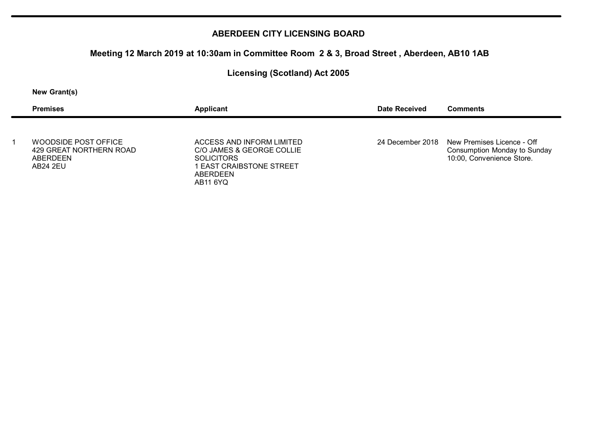# **Meeting 12 March 2019 at 10:30am in Committee Room 2 & 3, Broad Street , Aberdeen, AB10 1AB**

## **Licensing (Scotland) Act 2005**

#### **New Grant(s)**

| <b>Premises</b>                                                         | Applicant                                                                                                                             | Date Received | Comments                                                                                                        |
|-------------------------------------------------------------------------|---------------------------------------------------------------------------------------------------------------------------------------|---------------|-----------------------------------------------------------------------------------------------------------------|
| WOODSIDE POST OFFICE<br>429 GREAT NORTHERN ROAD<br>ABERDEEN<br>AB24 2FU | ACCESS AND INFORM LIMITED<br>C/O JAMES & GEORGE COLLIE<br><b>SOLICITORS</b><br><b>LEAST CRAIBSTONE STREET</b><br>ABERDEEN<br>AB11 6YQ |               | 24 December 2018 New Premises Licence - Off<br><b>Consumption Monday to Sunday</b><br>10:00, Convenience Store. |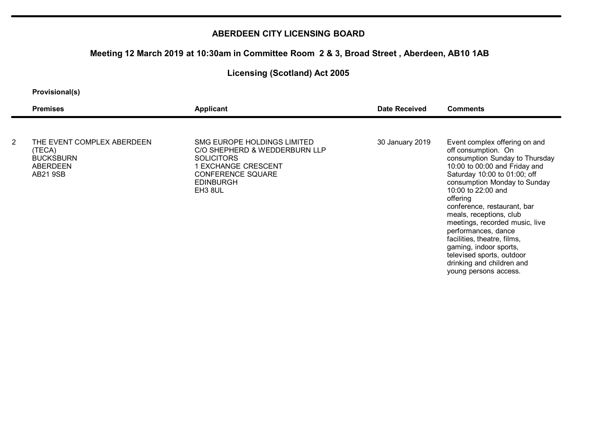### **Meeting 12 March 2019 at 10:30am in Committee Room 2 & 3, Broad Street , Aberdeen, AB10 1AB**

## **Licensing (Scotland) Act 2005**

#### **Provisional(s)**

|                | <b>Premises</b>                                           | Applicant                                                                                                                                        | <b>Date Received</b> | <b>Comments</b>                                                                                                                                                                                                                                                                                                                                                                                                                |
|----------------|-----------------------------------------------------------|--------------------------------------------------------------------------------------------------------------------------------------------------|----------------------|--------------------------------------------------------------------------------------------------------------------------------------------------------------------------------------------------------------------------------------------------------------------------------------------------------------------------------------------------------------------------------------------------------------------------------|
| $\overline{2}$ | THE EVENT COMPLEX ABERDEEN                                | SMG EUROPE HOLDINGS LIMITED                                                                                                                      | 30 January 2019      | Event complex offering on and                                                                                                                                                                                                                                                                                                                                                                                                  |
|                | (TECA)<br><b>BUCKSBURN</b><br>ABERDEEN<br><b>AB21 9SB</b> | C/O SHEPHERD & WEDDERBURN LLP<br><b>SOLICITORS</b><br>1 EXCHANGE CRESCENT<br><b>CONFERENCE SQUARE</b><br><b>EDINBURGH</b><br>EH <sub>3</sub> 8UL |                      | off consumption. On<br>consumption Sunday to Thursday<br>10:00 to 00:00 and Friday and<br>Saturday 10:00 to 01:00; off<br>consumption Monday to Sunday<br>10:00 to 22:00 and<br>offering<br>conference, restaurant, bar<br>meals, receptions, club<br>meetings, recorded music, live<br>performances, dance<br>facilities, theatre, films,<br>gaming, indoor sports,<br>televised sports, outdoor<br>drinking and children and |

young persons access.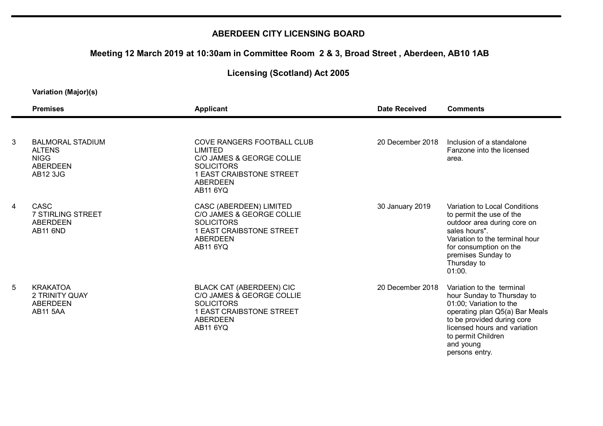# **Meeting 12 March 2019 at 10:30am in Committee Room 2 & 3, Broad Street , Aberdeen, AB10 1AB**

## **Licensing (Scotland) Act 2005**

|   | <b>Premises</b>                                                                               | <b>Applicant</b>                                                                                                                                                 | Date Received    | <b>Comments</b>                                                                                                                                                                                                                         |
|---|-----------------------------------------------------------------------------------------------|------------------------------------------------------------------------------------------------------------------------------------------------------------------|------------------|-----------------------------------------------------------------------------------------------------------------------------------------------------------------------------------------------------------------------------------------|
| 3 |                                                                                               |                                                                                                                                                                  | 20 December 2018 | Inclusion of a standalone                                                                                                                                                                                                               |
|   | <b>BALMORAL STADIUM</b><br><b>ALTENS</b><br><b>NIGG</b><br><b>ABERDEEN</b><br><b>AB12 3JG</b> | COVE RANGERS FOOTBALL CLUB<br><b>LIMITED</b><br>C/O JAMES & GEORGE COLLIE<br><b>SOLICITORS</b><br>1 EAST CRAIBSTONE STREET<br><b>ABERDEEN</b><br><b>AB11 6YQ</b> |                  | Fanzone into the licensed<br>area.                                                                                                                                                                                                      |
| 4 | <b>CASC</b><br>7 STIRLING STREET<br>ABERDEEN<br><b>AB11 6ND</b>                               | CASC (ABERDEEN) LIMITED<br>C/O JAMES & GEORGE COLLIE<br><b>SOLICITORS</b><br>1 EAST CRAIBSTONE STREET<br><b>ABERDEEN</b><br>AB11 6YQ                             | 30 January 2019  | Variation to Local Conditions<br>to permit the use of the<br>outdoor area during core on<br>sales hours".<br>Variation to the terminal hour<br>for consumption on the<br>premises Sunday to<br>Thursday to<br>01:00.                    |
| 5 | <b>KRAKATOA</b><br>2 TRINITY QUAY<br>ABERDEEN<br><b>AB11 5AA</b>                              | <b>BLACK CAT (ABERDEEN) CIC</b><br>C/O JAMES & GEORGE COLLIE<br><b>SOLICITORS</b><br>1 EAST CRAIBSTONE STREET<br><b>ABERDEEN</b><br><b>AB11 6YQ</b>              | 20 December 2018 | Variation to the terminal<br>hour Sunday to Thursday to<br>01:00; Variation to the<br>operating plan Q5(a) Bar Meals<br>to be provided during core<br>licensed hours and variation<br>to permit Children<br>and young<br>persons entry. |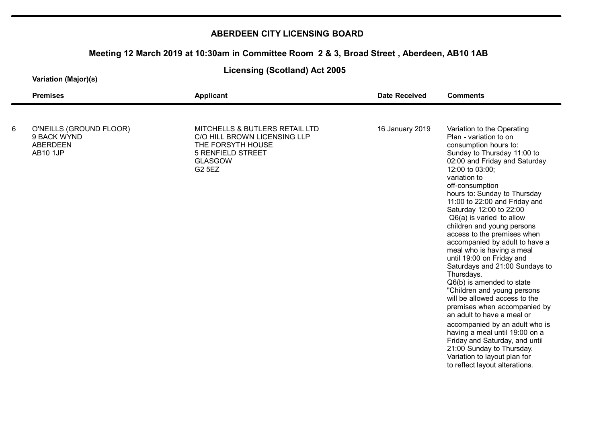## **Meeting 12 March 2019 at 10:30am in Committee Room 2 & 3, Broad Street , Aberdeen, AB10 1AB**

**Licensing (Scotland) Act 2005**

|   | <b>Applicant</b>                                                                                                                                   | Date Received   | <b>Comments</b>                                                                                                                                                                                                                                                                                                                                                                                                                                                                                                                                                                                                                                                                                                                                                                                                                                                                                        |
|---|----------------------------------------------------------------------------------------------------------------------------------------------------|-----------------|--------------------------------------------------------------------------------------------------------------------------------------------------------------------------------------------------------------------------------------------------------------------------------------------------------------------------------------------------------------------------------------------------------------------------------------------------------------------------------------------------------------------------------------------------------------------------------------------------------------------------------------------------------------------------------------------------------------------------------------------------------------------------------------------------------------------------------------------------------------------------------------------------------|
| 6 | MITCHELLS & BUTLERS RETAIL LTD<br>C/O HILL BROWN LICENSING LLP<br>THE FORSYTH HOUSE<br><b>5 RENFIELD STREET</b><br><b>GLASGOW</b><br><b>G2 5EZ</b> | 16 January 2019 | Variation to the Operating<br>Plan - variation to on<br>consumption hours to:<br>Sunday to Thursday 11:00 to<br>02:00 and Friday and Saturday<br>12:00 to 03:00;<br>variation to<br>off-consumption<br>hours to: Sunday to Thursday<br>11:00 to 22:00 and Friday and<br>Saturday 12:00 to 22:00<br>$Q6(a)$ is varied to allow<br>children and young persons<br>access to the premises when<br>accompanied by adult to have a<br>meal who is having a meal<br>until 19:00 on Friday and<br>Saturdays and 21:00 Sundays to<br>Thursdays.<br>Q6(b) is amended to state<br>"Children and young persons<br>will be allowed access to the<br>premises when accompanied by<br>an adult to have a meal or<br>accompanied by an adult who is<br>having a meal until 19:00 on a<br>Friday and Saturday, and until<br>21:00 Sunday to Thursday.<br>Variation to layout plan for<br>to reflect layout alterations. |
|   |                                                                                                                                                    |                 |                                                                                                                                                                                                                                                                                                                                                                                                                                                                                                                                                                                                                                                                                                                                                                                                                                                                                                        |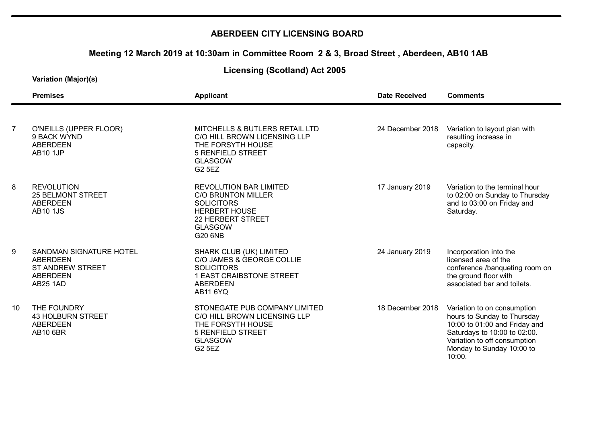## **Meeting 12 March 2019 at 10:30am in Committee Room 2 & 3, Broad Street , Aberdeen, AB10 1AB**

**Licensing (Scotland) Act 2005**

|                | <b>Premises</b>                                                                               | <b>Applicant</b>                                                                                                                                                 | <b>Date Received</b> | <b>Comments</b>                                                                                                                                                                                    |
|----------------|-----------------------------------------------------------------------------------------------|------------------------------------------------------------------------------------------------------------------------------------------------------------------|----------------------|----------------------------------------------------------------------------------------------------------------------------------------------------------------------------------------------------|
| $\overline{7}$ | O'NEILLS (UPPER FLOOR)<br>9 BACK WYND<br><b>ABERDEEN</b><br><b>AB10 1JP</b>                   | MITCHELLS & BUTLERS RETAIL LTD<br>C/O HILL BROWN LICENSING LLP<br>THE FORSYTH HOUSE<br><b>5 RENFIELD STREET</b><br><b>GLASGOW</b><br><b>G2 5EZ</b>               | 24 December 2018     | Variation to layout plan with<br>resulting increase in<br>capacity.                                                                                                                                |
| 8              | <b>REVOLUTION</b><br><b>25 BELMONT STREET</b><br><b>ABERDEEN</b><br><b>AB10 1JS</b>           | <b>REVOLUTION BAR LIMITED</b><br><b>C/O BRUNTON MILLER</b><br><b>SOLICITORS</b><br><b>HERBERT HOUSE</b><br>22 HERBERT STREET<br><b>GLASGOW</b><br><b>G20 6NB</b> | 17 January 2019      | Variation to the terminal hour<br>to 02:00 on Sunday to Thursday<br>and to 03:00 on Friday and<br>Saturday.                                                                                        |
| 9              | SANDMAN SIGNATURE HOTEL<br><b>ABERDEEN</b><br><b>ST ANDREW STREET</b><br>ABERDEEN<br>AB25 1AD | SHARK CLUB (UK) LIMITED<br>C/O JAMES & GEORGE COLLIE<br><b>SOLICITORS</b><br>1 EAST CRAIBSTONE STREET<br><b>ABERDEEN</b><br><b>AB11 6YQ</b>                      | 24 January 2019      | Incorporation into the<br>licensed area of the<br>conference /banqueting room on<br>the ground floor with<br>associated bar and toilets.                                                           |
| 10             | THE FOUNDRY<br><b>43 HOLBURN STREET</b><br><b>ABERDEEN</b><br><b>AB10 6BR</b>                 | STONEGATE PUB COMPANY LIMITED<br>C/O HILL BROWN LICENSING LLP<br>THE FORSYTH HOUSE<br><b>5 RENFIELD STREET</b><br><b>GLASGOW</b><br><b>G2 5EZ</b>                | 18 December 2018     | Variation to on consumption<br>hours to Sunday to Thursday<br>10:00 to 01:00 and Friday and<br>Saturdays to 10:00 to 02:00.<br>Variation to off consumption<br>Monday to Sunday 10:00 to<br>10:00. |